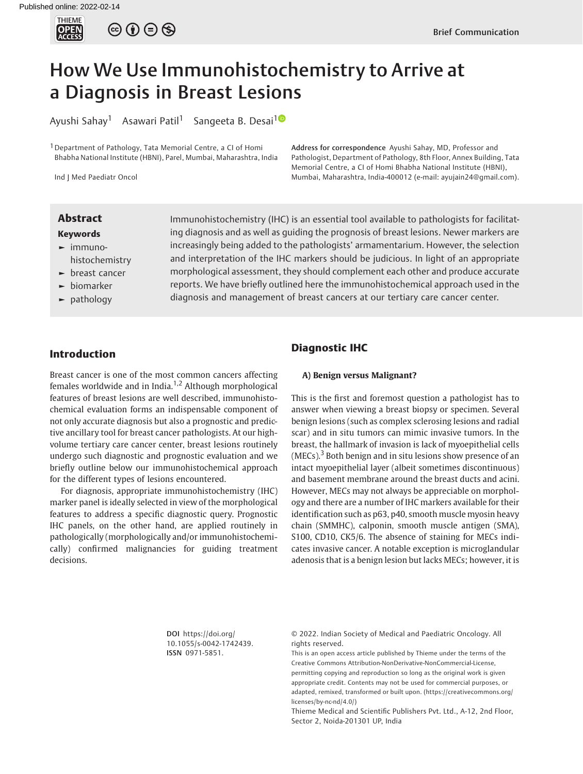

# How We Use Immunohistochemistry to Arrive at a Diagnosis in Breast Lesions

Ayushi Sahay<sup>1</sup> Asawari Patil<sup>1</sup> Sangeeta B. Desai<sup>10</sup>

<sup>1</sup> Department of Pathology, Tata Memorial Centre, a CI of Homi Bhabha National Institute (HBNI), Parel, Mumbai, Maharashtra, India

Ind J Med Paediatr Oncol

Address for correspondence Ayushi Sahay, MD, Professor and Pathologist, Department of Pathology, 8th Floor, Annex Building, Tata Memorial Centre, a CI of Homi Bhabha National Institute (HBNI), Mumbai, Maharashtra, India-400012 (e-mail: [ayujain24@gmail.com\)](mailto:ayujain24@gmail.com).

#### Keywords

- ► immunohistochemistry
- ► breast cancer
- ► biomarker
- pathology

**Abstract** Immunohistochemistry (IHC) is an essential tool available to pathologists for facilitating diagnosis and as well as guiding the prognosis of breast lesions. Newer markers are increasingly being added to the pathologists' armamentarium. However, the selection and interpretation of the IHC markers should be judicious. In light of an appropriate morphological assessment, they should complement each other and produce accurate reports. We have briefly outlined here the immunohistochemical approach used in the diagnosis and management of breast cancers at our tertiary care cancer center.

# Introduction

Breast cancer is one of the most common cancers affecting females worldwide and in India.<sup>1,2</sup> Although morphological features of breast lesions are well described, immunohistochemical evaluation forms an indispensable component of not only accurate diagnosis but also a prognostic and predictive ancillary tool for breast cancer pathologists. At our highvolume tertiary care cancer center, breast lesions routinely undergo such diagnostic and prognostic evaluation and we briefly outline below our immunohistochemical approach for the different types of lesions encountered.

For diagnosis, appropriate immunohistochemistry (IHC) marker panel is ideally selected in view of the morphological features to address a specific diagnostic query. Prognostic IHC panels, on the other hand, are applied routinely in pathologically (morphologically and/or immunohistochemically) confirmed malignancies for guiding treatment decisions.

## Diagnostic IHC

### A) Benign versus Malignant?

This is the first and foremost question a pathologist has to answer when viewing a breast biopsy or specimen. Several benign lesions (such as complex sclerosing lesions and radial scar) and in situ tumors can mimic invasive tumors. In the breast, the hallmark of invasion is lack of myoepithelial cells  $(MECs).$ <sup>3</sup> Both benign and in situ lesions show presence of an intact myoepithelial layer (albeit sometimes discontinuous) and basement membrane around the breast ducts and acini. However, MECs may not always be appreciable on morphology and there are a number of IHC markers available for their identification such as p63, p40, smooth muscle myosin heavy chain (SMMHC), calponin, smooth muscle antigen (SMA), S100, CD10, CK5/6. The absence of staining for MECs indicates invasive cancer. A notable exception is microglandular adenosis that is a benign lesion but lacks MECs; however, it is

DOI [https://doi.org/](https://doi.org/10.1055/s-0042-1742439) [10.1055/s-0042-1742439](https://doi.org/10.1055/s-0042-1742439). ISSN 0971-5851.

© 2022. Indian Society of Medical and Paediatric Oncology. All rights reserved.

This is an open access article published by Thieme under the terms of the Creative Commons Attribution-NonDerivative-NonCommercial-License, permitting copying and reproduction so long as the original work is given appropriate credit. Contents may not be used for commercial purposes, or adapted, remixed, transformed or built upon. (https://creativecommons.org/ licenses/by-nc-nd/4.0/)

Thieme Medical and Scientific Publishers Pvt. Ltd., A-12, 2nd Floor, Sector 2, Noida-201301 UP, India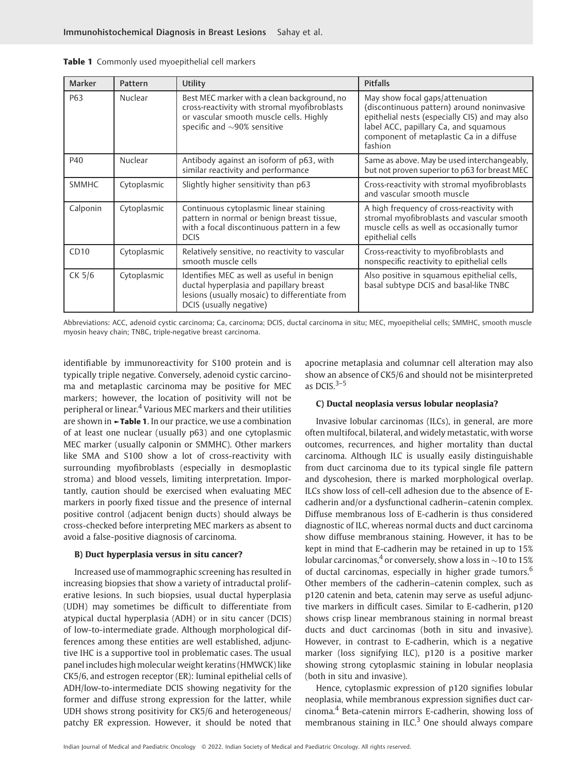| <b>Marker</b> | Pattern     | Utility                                                                                                                                                                     | <b>Pitfalls</b>                                                                                                                                                                                                                 |  |
|---------------|-------------|-----------------------------------------------------------------------------------------------------------------------------------------------------------------------------|---------------------------------------------------------------------------------------------------------------------------------------------------------------------------------------------------------------------------------|--|
| P63           | Nuclear     | Best MEC marker with a clean background, no<br>cross-reactivity with stromal myofibroblasts<br>or vascular smooth muscle cells. Highly<br>specific and $\sim$ 90% sensitive | May show focal gaps/attenuation<br>(discontinuous pattern) around noninvasive<br>epithelial nests (especially CIS) and may also<br>label ACC, papillary Ca, and squamous<br>component of metaplastic Ca in a diffuse<br>fashion |  |
| P40           | Nuclear     | Antibody against an isoform of p63, with<br>similar reactivity and performance                                                                                              | Same as above. May be used interchangeably,<br>but not proven superior to p63 for breast MEC                                                                                                                                    |  |
| <b>SMMHC</b>  | Cytoplasmic | Slightly higher sensitivity than p63                                                                                                                                        | Cross-reactivity with stromal myofibroblasts<br>and vascular smooth muscle                                                                                                                                                      |  |
| Calponin      | Cytoplasmic | Continuous cytoplasmic linear staining<br>pattern in normal or benign breast tissue,<br>with a focal discontinuous pattern in a few<br><b>DCIS</b>                          | A high frequency of cross-reactivity with<br>stromal myofibroblasts and vascular smooth<br>muscle cells as well as occasionally tumor<br>epithelial cells                                                                       |  |
| CD10          | Cytoplasmic | Relatively sensitive, no reactivity to vascular<br>smooth muscle cells                                                                                                      | Cross-reactivity to myofibroblasts and<br>nonspecific reactivity to epithelial cells                                                                                                                                            |  |
| CK 5/6        | Cytoplasmic | Identifies MEC as well as useful in benign<br>ductal hyperplasia and papillary breast<br>lesions (usually mosaic) to differentiate from<br>DCIS (usually negative)          | Also positive in squamous epithelial cells,<br>basal subtype DCIS and basal-like TNBC                                                                                                                                           |  |

Abbreviations: ACC, adenoid cystic carcinoma; Ca, carcinoma; DCIS, ductal carcinoma in situ; MEC, myoepithelial cells; SMMHC, smooth muscle myosin heavy chain; TNBC, triple-negative breast carcinoma.

identifiable by immunoreactivity for S100 protein and is typically triple negative. Conversely, adenoid cystic carcinoma and metaplastic carcinoma may be positive for MEC markers; however, the location of positivity will not be peripheral or linear.<sup>4</sup> Various MEC markers and their utilities are shown in ►Table 1. In our practice, we use a combination of at least one nuclear (usually p63) and one cytoplasmic MEC marker (usually calponin or SMMHC). Other markers like SMA and S100 show a lot of cross-reactivity with surrounding myofibroblasts (especially in desmoplastic stroma) and blood vessels, limiting interpretation. Importantly, caution should be exercised when evaluating MEC markers in poorly fixed tissue and the presence of internal positive control (adjacent benign ducts) should always be cross-checked before interpreting MEC markers as absent to avoid a false-positive diagnosis of carcinoma.

#### B) Duct hyperplasia versus in situ cancer?

Increased use of mammographic screening has resulted in increasing biopsies that show a variety of intraductal proliferative lesions. In such biopsies, usual ductal hyperplasia (UDH) may sometimes be difficult to differentiate from atypical ductal hyperplasia (ADH) or in situ cancer (DCIS) of low-to-intermediate grade. Although morphological differences among these entities are well established, adjunctive IHC is a supportive tool in problematic cases. The usual panel includes high molecular weight keratins (HMWCK) like CK5/6, and estrogen receptor (ER): luminal epithelial cells of ADH/low-to-intermediate DCIS showing negativity for the former and diffuse strong expression for the latter, while UDH shows strong positivity for CK5/6 and heterogeneous/ patchy ER expression. However, it should be noted that

apocrine metaplasia and columnar cell alteration may also show an absence of CK5/6 and should not be misinterpreted as DCIS. $3-5$ 

#### C) Ductal neoplasia versus lobular neoplasia?

Invasive lobular carcinomas (ILCs), in general, are more often multifocal, bilateral, and widely metastatic, with worse outcomes, recurrences, and higher mortality than ductal carcinoma. Although ILC is usually easily distinguishable from duct carcinoma due to its typical single file pattern and dyscohesion, there is marked morphological overlap. ILCs show loss of cell-cell adhesion due to the absence of Ecadherin and/or a dysfunctional cadherin–catenin complex. Diffuse membranous loss of E-cadherin is thus considered diagnostic of ILC, whereas normal ducts and duct carcinoma show diffuse membranous staining. However, it has to be kept in mind that E-cadherin may be retained in up to 15% lobular carcinomas,<sup>4</sup> or conversely, show a loss in  $\sim$ 10 to 15% of ductal carcinomas, especially in higher grade tumors.<sup>6</sup> Other members of the cadherin–catenin complex, such as p120 catenin and beta, catenin may serve as useful adjunctive markers in difficult cases. Similar to E-cadherin, p120 shows crisp linear membranous staining in normal breast ducts and duct carcinomas (both in situ and invasive). However, in contrast to E-cadherin, which is a negative marker (loss signifying ILC), p120 is a positive marker showing strong cytoplasmic staining in lobular neoplasia (both in situ and invasive).

Hence, cytoplasmic expression of p120 signifies lobular neoplasia, while membranous expression signifies duct carcinoma.<sup>4</sup> Beta-catenin mirrors E-cadherin, showing loss of membranous staining in ILC.<sup>3</sup> One should always compare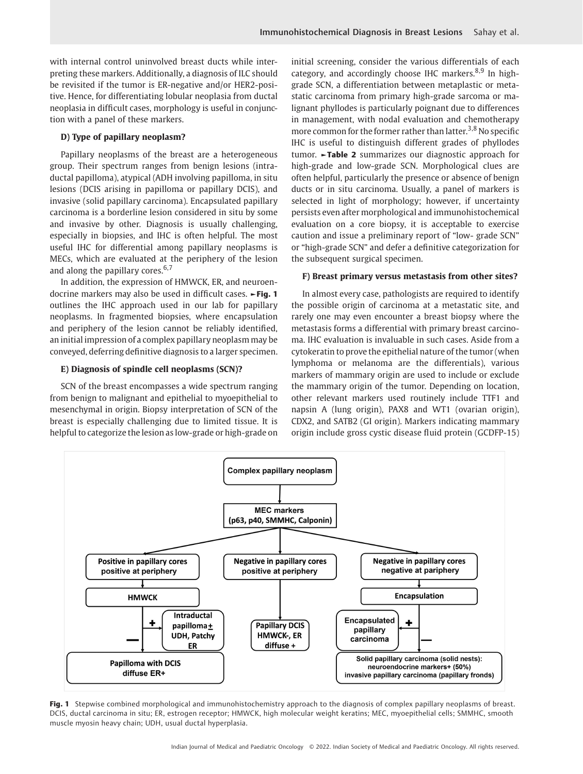with internal control uninvolved breast ducts while interpreting these markers. Additionally, a diagnosis of ILC should be revisited if the tumor is ER-negative and/or HER2-positive. Hence, for differentiating lobular neoplasia from ductal neoplasia in difficult cases, morphology is useful in conjunction with a panel of these markers.

### D) Type of papillary neoplasm?

Papillary neoplasms of the breast are a heterogeneous group. Their spectrum ranges from benign lesions (intraductal papilloma), atypical (ADH involving papilloma, in situ lesions (DCIS arising in papilloma or papillary DCIS), and invasive (solid papillary carcinoma). Encapsulated papillary carcinoma is a borderline lesion considered in situ by some and invasive by other. Diagnosis is usually challenging, especially in biopsies, and IHC is often helpful. The most useful IHC for differential among papillary neoplasms is MECs, which are evaluated at the periphery of the lesion and along the papillary cores.<sup>6,7</sup>

In addition, the expression of HMWCK, ER, and neuroendocrine markers may also be used in difficult cases. ►Fig. 1 outlines the IHC approach used in our lab for papillary neoplasms. In fragmented biopsies, where encapsulation and periphery of the lesion cannot be reliably identified, an initial impression of a complex papillary neoplasm may be conveyed, deferring definitive diagnosis to a larger specimen.

#### E) Diagnosis of spindle cell neoplasms (SCN)?

SCN of the breast encompasses a wide spectrum ranging from benign to malignant and epithelial to myoepithelial to mesenchymal in origin. Biopsy interpretation of SCN of the breast is especially challenging due to limited tissue. It is helpful to categorize the lesion as low-grade or high-grade on initial screening, consider the various differentials of each category, and accordingly choose IHC markers.<sup>8,9</sup> In highgrade SCN, a differentiation between metaplastic or metastatic carcinoma from primary high-grade sarcoma or malignant phyllodes is particularly poignant due to differences in management, with nodal evaluation and chemotherapy more common for the former rather than latter.<sup>3,8</sup> No specific IHC is useful to distinguish different grades of phyllodes tumor. ►Table 2 summarizes our diagnostic approach for high-grade and low-grade SCN. Morphological clues are often helpful, particularly the presence or absence of benign ducts or in situ carcinoma. Usually, a panel of markers is selected in light of morphology; however, if uncertainty persists even after morphological and immunohistochemical evaluation on a core biopsy, it is acceptable to exercise caution and issue a preliminary report of "low- grade SCN" or "high-grade SCN" and defer a definitive categorization for the subsequent surgical specimen.

#### F) Breast primary versus metastasis from other sites?

In almost every case, pathologists are required to identify the possible origin of carcinoma at a metastatic site, and rarely one may even encounter a breast biopsy where the metastasis forms a differential with primary breast carcinoma. IHC evaluation is invaluable in such cases. Aside from a cytokeratin to prove the epithelial nature of the tumor (when lymphoma or melanoma are the differentials), various markers of mammary origin are used to include or exclude the mammary origin of the tumor. Depending on location, other relevant markers used routinely include TTF1 and napsin A (lung origin), PAX8 and WT1 (ovarian origin), CDX2, and SATB2 (GI origin). Markers indicating mammary origin include gross cystic disease fluid protein (GCDFP-15)



Fig. 1 Stepwise combined morphological and immunohistochemistry approach to the diagnosis of complex papillary neoplasms of breast. DCIS, ductal carcinoma in situ; ER, estrogen receptor; HMWCK, high molecular weight keratins; MEC, myoepithelial cells; SMMHC, smooth muscle myosin heavy chain; UDH, usual ductal hyperplasia.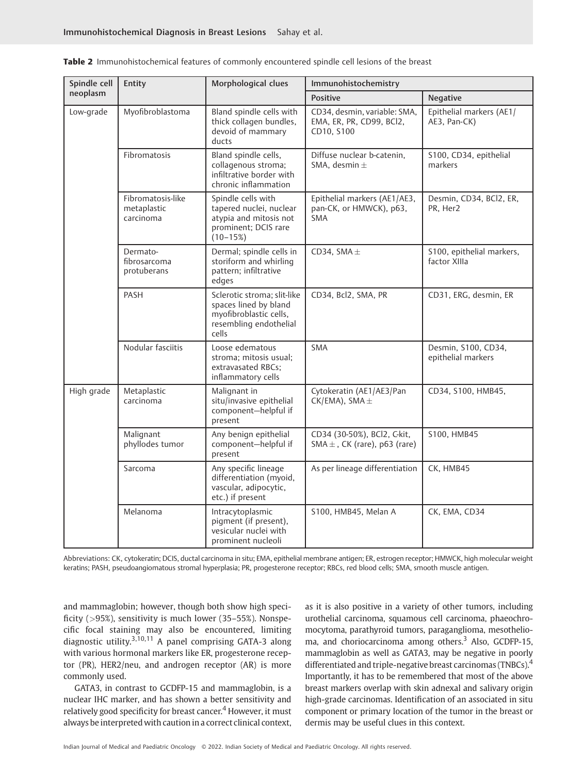| Spindle cell | Entity                                        | Morphological clues                                                                                               | Immunohistochemistry                                                   |                                           |
|--------------|-----------------------------------------------|-------------------------------------------------------------------------------------------------------------------|------------------------------------------------------------------------|-------------------------------------------|
| neoplasm     |                                               |                                                                                                                   | <b>Positive</b>                                                        | <b>Negative</b>                           |
| Low-grade    | Myofibroblastoma                              | Bland spindle cells with<br>thick collagen bundles,<br>devoid of mammary<br>ducts                                 | CD34, desmin, variable: SMA,<br>EMA, ER, PR, CD99, BCl2,<br>CD10, S100 | Epithelial markers (AE1/<br>AE3, Pan-CK)  |
|              | Fibromatosis                                  | Bland spindle cells,<br>collagenous stroma;<br>infiltrative border with<br>chronic inflammation                   | Diffuse nuclear b-catenin,<br>SMA, desmin $\pm$                        | S100, CD34, epithelial<br>markers         |
|              | Fibromatosis-like<br>metaplastic<br>carcinoma | Spindle cells with<br>tapered nuclei, nuclear<br>atypia and mitosis not<br>prominent; DCIS rare<br>$(10-15%)$     | Epithelial markers (AE1/AE3,<br>pan-CK, or HMWCK), p63,<br><b>SMA</b>  | Desmin, CD34, BCl2, ER,<br>PR, Her2       |
|              | Dermato-<br>fibrosarcoma<br>protuberans       | Dermal; spindle cells in<br>storiform and whirling<br>pattern; infiltrative<br>edges                              | CD34, SMA $\pm$                                                        | S100, epithelial markers,<br>factor XIIIa |
|              | PASH                                          | Sclerotic stroma; slit-like<br>spaces lined by bland<br>myofibroblastic cells,<br>resembling endothelial<br>cells | CD34, Bcl2, SMA, PR                                                    | CD31, ERG, desmin, ER                     |
|              | Nodular fasciitis                             | Loose edematous<br>stroma; mitosis usual;<br>extravasated RBCs;<br>inflammatory cells                             | <b>SMA</b>                                                             | Desmin, S100, CD34,<br>epithelial markers |
| High grade   | Metaplastic<br>carcinoma                      | Malignant in<br>situ/invasive epithelial<br>component-helpful if<br>present                                       | Cytokeratin (AE1/AE3/Pan<br>$CK/EMA$ ), SMA $\pm$                      | CD34, S100, HMB45,                        |
|              | Malignant<br>phyllodes tumor                  | Any benign epithelial<br>component-helpful if<br>present                                                          | CD34 (30-50%), BCl2, C-kit,<br>$SMA \pm$ , CK (rare), p63 (rare)       | S100, HMB45                               |
|              | Sarcoma                                       | Any specific lineage<br>differentiation (myoid,<br>vascular, adipocytic,<br>etc.) if present                      | As per lineage differentiation                                         | CK, HMB45                                 |
|              | Melanoma                                      | Intracytoplasmic<br>pigment (if present),<br>vesicular nuclei with<br>prominent nucleoli                          | S100, HMB45, Melan A                                                   | CK, EMA, CD34                             |

Table 2 Immunohistochemical features of commonly encountered spindle cell lesions of the breast

Abbreviations: CK, cytokeratin; DCIS, ductal carcinoma in situ; EMA, epithelial membrane antigen; ER, estrogen receptor; HMWCK, high molecular weight keratins; PASH, pseudoangiomatous stromal hyperplasia; PR, progesterone receptor; RBCs, red blood cells; SMA, smooth muscle antigen.

and mammaglobin; however, though both show high specificity (>95%), sensitivity is much lower (35–55%). Nonspecific focal staining may also be encountered, limiting diagnostic utility.3,10,11 A panel comprising GATA-3 along with various hormonal markers like ER, progesterone receptor (PR), HER2/neu, and androgen receptor (AR) is more commonly used.

GATA3, in contrast to GCDFP-15 and mammaglobin, is a nuclear IHC marker, and has shown a better sensitivity and relatively good specificity for breast cancer.<sup>4</sup> However, it must always be interpretedwith caution in a correct clinical context,

as it is also positive in a variety of other tumors, including urothelial carcinoma, squamous cell carcinoma, phaeochromocytoma, parathyroid tumors, paraganglioma, mesothelioma, and choriocarcinoma among others.<sup>3</sup> Also, GCDFP-15, mammaglobin as well as GATA3, may be negative in poorly differentiated and triple-negative breast carcinomas (TNBCs).<sup>4</sup> Importantly, it has to be remembered that most of the above breast markers overlap with skin adnexal and salivary origin high-grade carcinomas. Identification of an associated in situ component or primary location of the tumor in the breast or dermis may be useful clues in this context.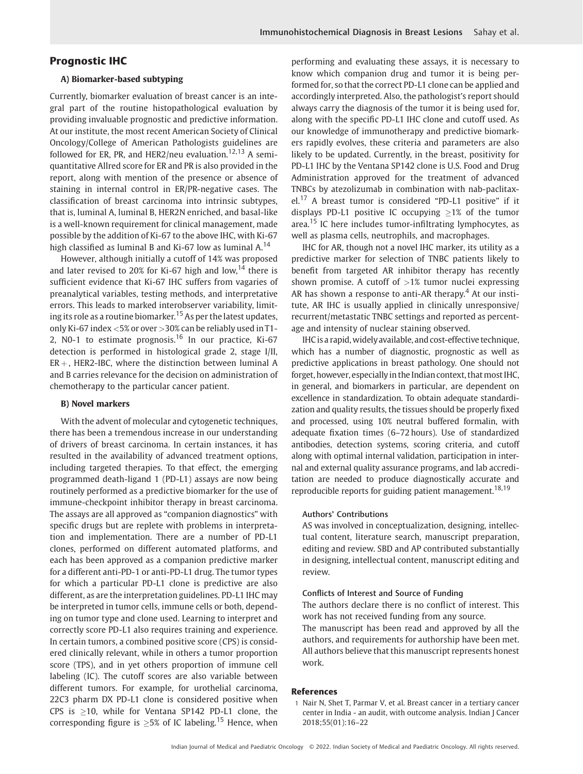# Prognostic IHC

#### A) Biomarker-based subtyping

Currently, biomarker evaluation of breast cancer is an integral part of the routine histopathological evaluation by providing invaluable prognostic and predictive information. At our institute, the most recent American Society of Clinical Oncology/College of American Pathologists guidelines are followed for ER, PR, and HER2/neu evaluation.<sup>12,13</sup> A semiquantitative Allred score for ER and PR is also provided in the report, along with mention of the presence or absence of staining in internal control in ER/PR-negative cases. The classification of breast carcinoma into intrinsic subtypes, that is, luminal A, luminal B, HER2N enriched, and basal-like is a well-known requirement for clinical management, made possible by the addition of Ki-67 to the above IHC, with Ki-67 high classified as luminal B and Ki-67 low as luminal  $A<sup>14</sup>$ 

However, although initially a cutoff of 14% was proposed and later revised to 20% for Ki-67 high and low,<sup>14</sup> there is sufficient evidence that Ki-67 IHC suffers from vagaries of preanalytical variables, testing methods, and interpretative errors. This leads to marked interobserver variability, limiting its role as a routine biomarker.<sup>15</sup> As per the latest updates, only Ki-67 index <5% or over >30% can be reliably used in T1- 2, N0-1 to estimate prognosis.<sup>16</sup> In our practice, Ki-67 detection is performed in histological grade 2, stage I/II,  $ER +$ , HER2-IBC, where the distinction between luminal A and B carries relevance for the decision on administration of chemotherapy to the particular cancer patient.

#### B) Novel markers

With the advent of molecular and cytogenetic techniques, there has been a tremendous increase in our understanding of drivers of breast carcinoma. In certain instances, it has resulted in the availability of advanced treatment options, including targeted therapies. To that effect, the emerging programmed death-ligand 1 (PD-L1) assays are now being routinely performed as a predictive biomarker for the use of immune-checkpoint inhibitor therapy in breast carcinoma. The assays are all approved as "companion diagnostics" with specific drugs but are replete with problems in interpretation and implementation. There are a number of PD-L1 clones, performed on different automated platforms, and each has been approved as a companion predictive marker for a different anti-PD-1 or anti-PD-L1 drug. The tumor types for which a particular PD-L1 clone is predictive are also different, as are the interpretation guidelines. PD-L1 IHC may be interpreted in tumor cells, immune cells or both, depending on tumor type and clone used. Learning to interpret and correctly score PD-L1 also requires training and experience. In certain tumors, a combined positive score (CPS) is considered clinically relevant, while in others a tumor proportion score (TPS), and in yet others proportion of immune cell labeling (IC). The cutoff scores are also variable between different tumors. For example, for urothelial carcinoma, 22C3 pharm DX PD-L1 clone is considered positive when CPS is  $\geq$ 10, while for Ventana SP142 PD-L1 clone, the corresponding figure is  $\geq$ 5% of IC labeling.<sup>15</sup> Hence, when performing and evaluating these assays, it is necessary to know which companion drug and tumor it is being performed for, so that the correct PD-L1 clone can be applied and accordingly interpreted. Also, the pathologist's report should always carry the diagnosis of the tumor it is being used for, along with the specific PD-L1 IHC clone and cutoff used. As our knowledge of immunotherapy and predictive biomarkers rapidly evolves, these criteria and parameters are also likely to be updated. Currently, in the breast, positivity for PD-L1 IHC by the Ventana SP142 clone is U.S. Food and Drug Administration approved for the treatment of advanced TNBCs by atezolizumab in combination with nab-paclitaxel.<sup>17</sup> A breast tumor is considered "PD-L1 positive" if it displays PD-L1 positive IC occupying  $\geq$ 1% of the tumor area.<sup>15</sup> IC here includes tumor-infiltrating lymphocytes, as well as plasma cells, neutrophils, and macrophages.

IHC for AR, though not a novel IHC marker, its utility as a predictive marker for selection of TNBC patients likely to benefit from targeted AR inhibitor therapy has recently shown promise. A cutoff of  $>1%$  tumor nuclei expressing AR has shown a response to anti-AR therapy.<sup>4</sup> At our institute, AR IHC is usually applied in clinically unresponsive/ recurrent/metastatic TNBC settings and reported as percentage and intensity of nuclear staining observed.

IHC is a rapid, widely available, and cost-effective technique, which has a number of diagnostic, prognostic as well as predictive applications in breast pathology. One should not forget, however, especially in the Indian context, that most IHC, in general, and biomarkers in particular, are dependent on excellence in standardization. To obtain adequate standardization and quality results, the tissues should be properly fixed and processed, using 10% neutral buffered formalin, with adequate fixation times (6–72 hours). Use of standardized antibodies, detection systems, scoring criteria, and cutoff along with optimal internal validation, participation in internal and external quality assurance programs, and lab accreditation are needed to produce diagnostically accurate and reproducible reports for guiding patient management.<sup>18,19</sup>

#### Authors' Contributions

AS was involved in conceptualization, designing, intellectual content, literature search, manuscript preparation, editing and review. SBD and AP contributed substantially in designing, intellectual content, manuscript editing and review.

#### Conflicts of Interest and Source of Funding

The authors declare there is no conflict of interest. This work has not received funding from any source. The manuscript has been read and approved by all the authors, and requirements for authorship have been met. All authors believe that this manuscript represents honest work.

#### References

1 Nair N, Shet T, Parmar V, et al. Breast cancer in a tertiary cancer center in India - an audit, with outcome analysis. Indian J Cancer 2018;55(01):16–22